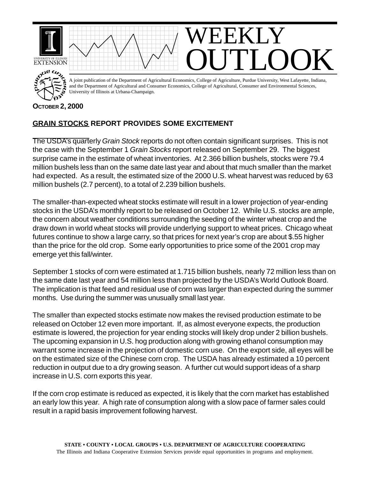

## **GRAIN STOCKS REPORT PROVIDES SOME EXCITEMENT**

The USDA's quarterly *Grain Stock* reports do not often contain significant surprises. This is not the case with the September 1 *Grain Stocks* report released on September 29. The biggest surprise came in the estimate of wheat inventories. At 2.366 billion bushels, stocks were 79.4 million bushels less than on the same date last year and about that much smaller than the market had expected. As a result, the estimated size of the 2000 U.S. wheat harvest was reduced by 63 million bushels (2.7 percent), to a total of 2.239 billion bushels.

The smaller-than-expected wheat stocks estimate will result in a lower projection of year-ending stocks in the USDA's monthly report to be released on October 12. While U.S. stocks are ample, the concern about weather conditions surrounding the seeding of the winter wheat crop and the draw down in world wheat stocks will provide underlying support to wheat prices. Chicago wheat futures continue to show a large carry, so that prices for next year's crop are about \$.55 higher than the price for the old crop. Some early opportunities to price some of the 2001 crop may emerge yet this fall/winter.

September 1 stocks of corn were estimated at 1.715 billion bushels, nearly 72 million less than on the same date last year and 54 million less than projected by the USDA's World Outlook Board. The implication is that feed and residual use of corn was larger than expected during the summer months. Use during the summer was unusually small last year.

The smaller than expected stocks estimate now makes the revised production estimate to be released on October 12 even more important. If, as almost everyone expects, the production estimate is lowered, the projection for year ending stocks will likely drop under 2 billion bushels. The upcoming expansion in U.S. hog production along with growing ethanol consumption may warrant some increase in the projection of domestic corn use. On the export side, all eyes will be on the estimated size of the Chinese corn crop. The USDA has already estimated a 10 percent reduction in output due to a dry growing season. A further cut would support ideas of a sharp increase in U.S. corn exports this year.

If the corn crop estimate is reduced as expected, it is likely that the corn market has established an early low this year. A high rate of consumption along with a slow pace of farmer sales could result in a rapid basis improvement following harvest.